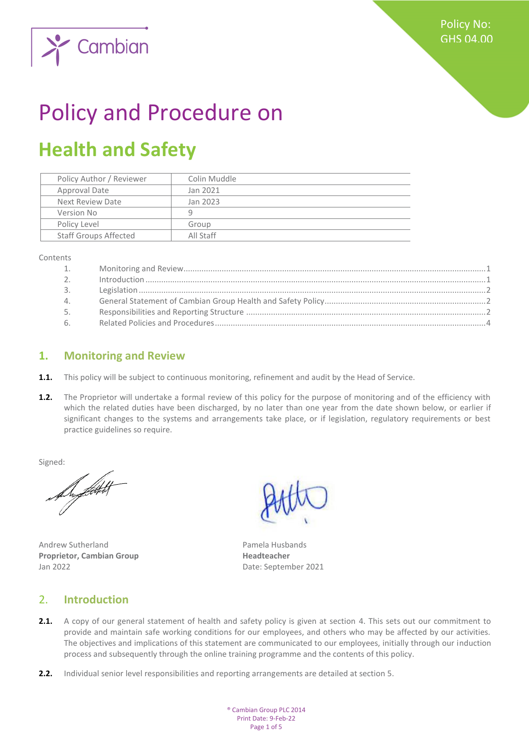

# Policy and Procedure on

## **Health and Safety**

| Policy Author / Reviewer     | Colin Muddle |
|------------------------------|--------------|
| Approval Date                | Jan 2021     |
| Next Review Date             | Jan 2023     |
| Version No                   | q            |
| Policy Level                 | Group        |
| <b>Staff Groups Affected</b> | All Staff    |

Contents

| 1.               |  |
|------------------|--|
| $\overline{2}$ . |  |
| 3.               |  |
| 4.               |  |
| 5.               |  |
| 6.               |  |

#### <span id="page-0-0"></span>**1. Monitoring and Review**

- **1.1.** This policy will be subject to continuous monitoring, refinement and audit by the Head of Service.
- 1.2. The Proprietor will undertake a formal review of this policy for the purpose of monitoring and of the efficiency with which the related duties have been discharged, by no later than one year from the date shown below, or earlier if significant changes to the systems and arrangements take place, or if legislation, regulatory requirements or best practice guidelines so require.

Signed:

Andrew Sutherland **Pamela Husbands Proprietor, Cambian Group Headteacher** Jan 2022 Date: September 2021

#### <span id="page-0-1"></span>2. **Introduction**

- **2.1.** A copy of our general statement of health and safety policy is given at section 4. This sets out our commitment to provide and maintain safe working conditions for our employees, and others who may be affected by our activities. The objectives and implications of this statement are communicated to our employees, initially through our induction process and subsequently through the online training programme and the contents of this policy.
- **2.2.** Individual senior level responsibilities and reporting arrangements are detailed at section 5.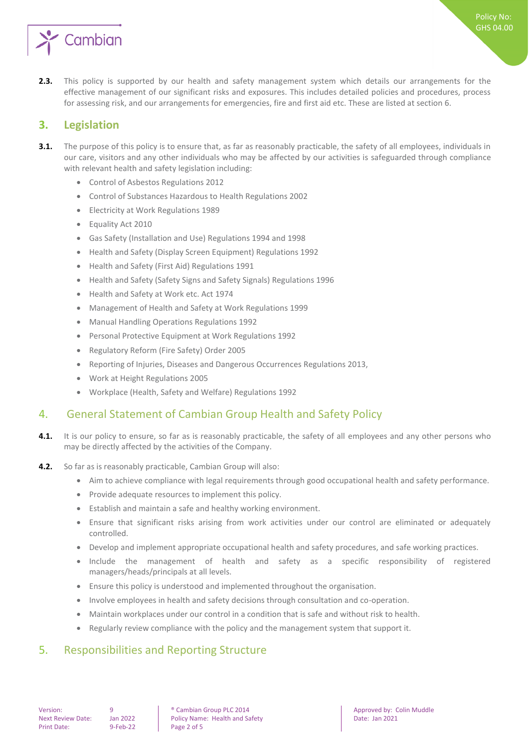

**2.3.** This policy is supported by our health and safety management system which details our arrangements for the effective management of our significant risks and exposures. This includes detailed policies and procedures, process for assessing risk, and our arrangements for emergencies, fire and first aid etc. These are listed at section 6.

#### <span id="page-1-0"></span>**3. Legislation**

- **3.1.** The purpose of this policy is to ensure that, as far as reasonably practicable, the safety of all employees, individuals in our care, visitors and any other individuals who may be affected by our activities is safeguarded through compliance with relevant health and safety legislation including:
	- Control of Asbestos Regulations 2012
	- Control of Substances Hazardous to Health Regulations 2002
	- Electricity at Work Regulations 1989
	- Equality Act 2010
	- Gas Safety (Installation and Use) Regulations 1994 and 1998
	- Health and Safety (Display Screen Equipment) Regulations 1992
	- Health and Safety (First Aid) Regulations 1991
	- Health and Safety (Safety Signs and Safety Signals) Regulations 1996
	- Health and Safety at Work etc. Act 1974
	- Management of Health and Safety at Work Regulations 1999
	- Manual Handling Operations Regulations 1992
	- Personal Protective Equipment at Work Regulations 1992
	- Regulatory Reform (Fire Safety) Order 2005
	- Reporting of Injuries, Diseases and Dangerous Occurrences Regulations 2013,
	- Work at Height Regulations 2005
	- Workplace (Health, Safety and Welfare) Regulations 1992

### <span id="page-1-1"></span>4. General Statement of Cambian Group Health and Safety Policy

- **4.1.** It is our policy to ensure, so far as is reasonably practicable, the safety of all employees and any other persons who may be directly affected by the activities of the Company.
- **4.2.** So far as is reasonably practicable, Cambian Group will also:
	- Aim to achieve compliance with legal requirements through good occupational health and safety performance.
	- Provide adequate resources to implement this policy.
	- Establish and maintain a safe and healthy working environment.
	- Ensure that significant risks arising from work activities under our control are eliminated or adequately controlled.
	- Develop and implement appropriate occupational health and safety procedures, and safe working practices.
	- Include the management of health and safety as a specific responsibility of registered managers/heads/principals at all levels.
	- Ensure this policy is understood and implemented throughout the organisation.
	- Involve employees in health and safety decisions through consultation and co-operation.
	- Maintain workplaces under our control in a condition that is safe and without risk to health.
	- Regularly review compliance with the policy and the management system that support it.

### <span id="page-1-2"></span>5. Responsibilities and Reporting Structure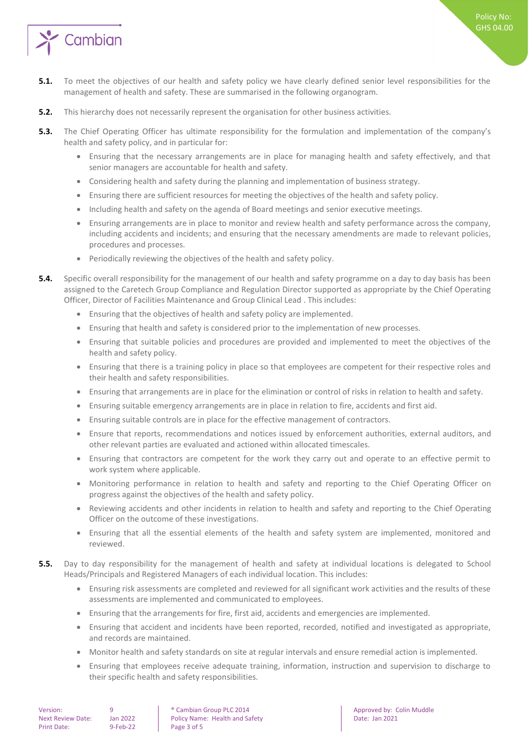

- **5.1.** To meet the objectives of our health and safety policy we have clearly defined senior level responsibilities for the management of health and safety. These are summarised in the following organogram.
- **5.2.** This hierarchy does not necessarily represent the organisation for other business activities.
- **5.3.** The Chief Operating Officer has ultimate responsibility for the formulation and implementation of the company's health and safety policy, and in particular for:
	- Ensuring that the necessary arrangements are in place for managing health and safety effectively, and that senior managers are accountable for health and safety.
	- Considering health and safety during the planning and implementation of business strategy.
	- Ensuring there are sufficient resources for meeting the objectives of the health and safety policy.
	- Including health and safety on the agenda of Board meetings and senior executive meetings.
	- Ensuring arrangements are in place to monitor and review health and safety performance across the company, including accidents and incidents; and ensuring that the necessary amendments are made to relevant policies, procedures and processes.
	- Periodically reviewing the objectives of the health and safety policy.
- **5.4.** Specific overall responsibility for the management of our health and safety programme on a day to day basis has been assigned to the Caretech Group Compliance and Regulation Director supported as appropriate by the Chief Operating Officer, Director of Facilities Maintenance and Group Clinical Lead . This includes:
	- Ensuring that the objectives of health and safety policy are implemented.
	- Ensuring that health and safety is considered prior to the implementation of new processes.
	- Ensuring that suitable policies and procedures are provided and implemented to meet the objectives of the health and safety policy.
	- Ensuring that there is a training policy in place so that employees are competent for their respective roles and their health and safety responsibilities.
	- Ensuring that arrangements are in place for the elimination or control of risks in relation to health and safety.
	- Ensuring suitable emergency arrangements are in place in relation to fire, accidents and first aid.
	- Ensuring suitable controls are in place for the effective management of contractors.
	- Ensure that reports, recommendations and notices issued by enforcement authorities, external auditors, and other relevant parties are evaluated and actioned within allocated timescales.
	- Ensuring that contractors are competent for the work they carry out and operate to an effective permit to work system where applicable.
	- Monitoring performance in relation to health and safety and reporting to the Chief Operating Officer on progress against the objectives of the health and safety policy.
	- Reviewing accidents and other incidents in relation to health and safety and reporting to the Chief Operating Officer on the outcome of these investigations.
	- Ensuring that all the essential elements of the health and safety system are implemented, monitored and reviewed.
- **5.5.** Day to day responsibility for the management of health and safety at individual locations is delegated to School Heads/Principals and Registered Managers of each individual location. This includes:
	- Ensuring risk assessments are completed and reviewed for all significant work activities and the results of these assessments are implemented and communicated to employees.
	- Ensuring that the arrangements for fire, first aid, accidents and emergencies are implemented.
	- Ensuring that accident and incidents have been reported, recorded, notified and investigated as appropriate, and records are maintained.
	- Monitor health and safety standards on site at regular intervals and ensure remedial action is implemented.
	- Ensuring that employees receive adequate training, information, instruction and supervision to discharge to their specific health and safety responsibilities.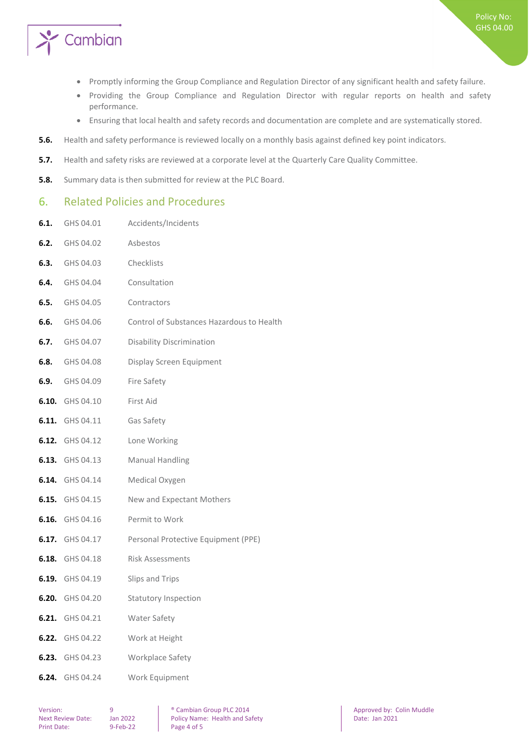

- Promptly informing the Group Compliance and Regulation Director of any significant health and safety failure.
- Providing the Group Compliance and Regulation Director with regular reports on health and safety performance.
- Ensuring that local health and safety records and documentation are complete and are systematically stored.
- **5.6.** Health and safety performance is reviewed locally on a monthly basis against defined key point indicators.
- **5.7.** Health and safety risks are reviewed at a corporate level at the Quarterly Care Quality Committee.
- **5.8.** Summary data is then submitted for review at the PLC Board.

#### <span id="page-3-0"></span>6. Related Policies and Procedures

- **6.1.** GHS 04.01 Accidents/Incidents
- **6.2.** GHS 04.02 Asbestos **6.3.** GHS 04.03 Checklists **6.4.** GHS 04.04 Consultation **6.5.** GHS 04.05 Contractors **6.6.** GHS 04.06 Control of Substances Hazardous to Health **6.7.** GHS 04.07 Disability Discrimination **6.8.** GHS 04.08 Display Screen Equipment **6.9.** GHS 04.09 Fire Safety **6.10.** GHS 04.10 First Aid **6.11.** GHS 04.11 Gas Safety **6.12.** GHS 04.12 Lone Working **6.13.** GHS 04.13 Manual Handling **6.14.** GHS 04.14 Medical Oxygen **6.15.** GHS 04.15 New and Expectant Mothers **6.16.** GHS 04.16 Permit to Work **6.17.** GHS 04.17 Personal Protective Equipment (PPE) **6.18.** GHS 04.18 Risk Assessments **6.19.** GHS 04.19 Slips and Trips **6.20.** GHS 04.20 Statutory Inspection **6.21.** GHS 04.21 Water Safety **6.22.** GHS 04.22 Work at Height **6.23.** GHS 04.23 Workplace Safety **6.24.** GHS 04.24 Work Equipment